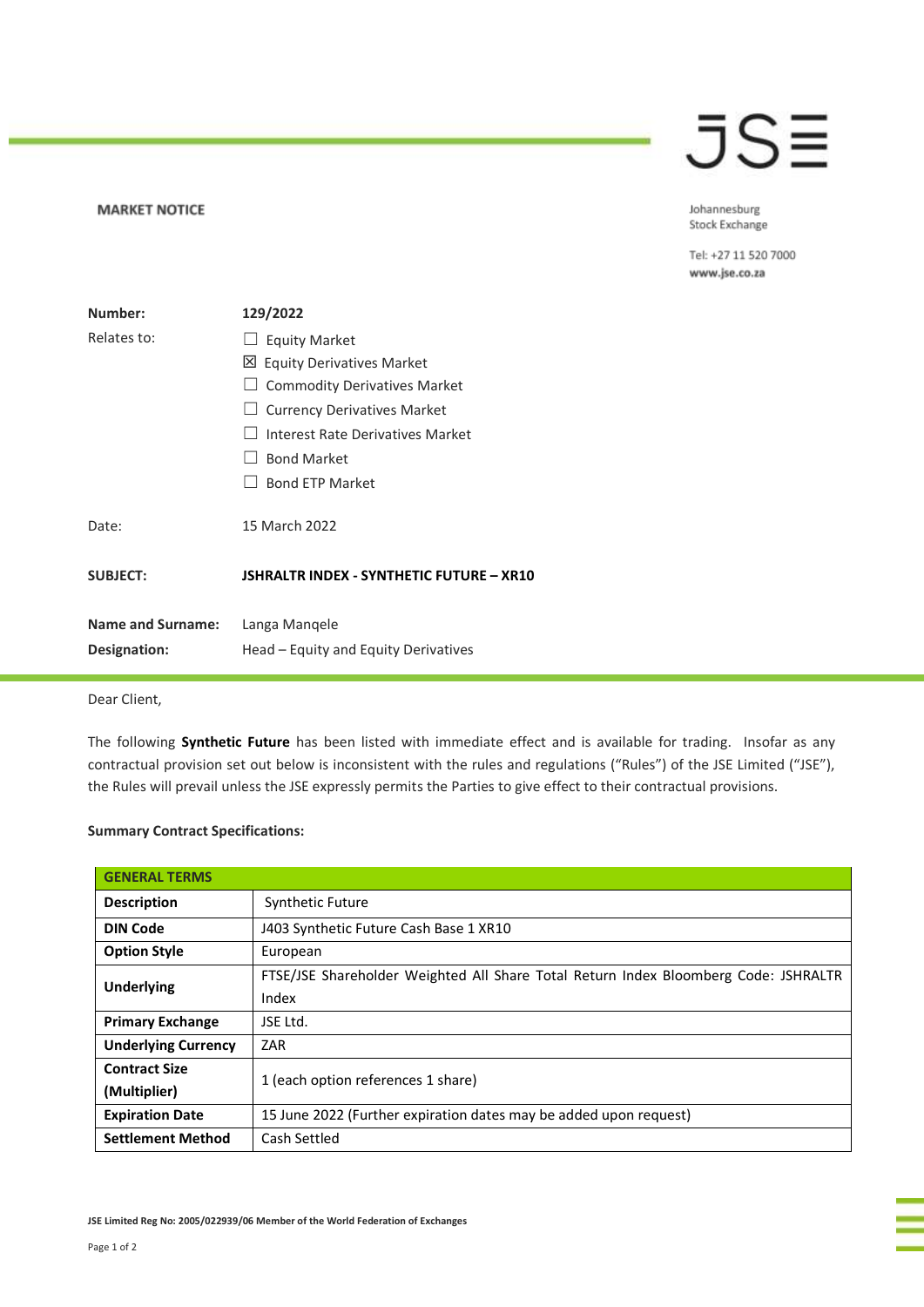## JSE

**MARKET NOTICE** 

Johannesburg Stock Exchange

Tel: +27 11 520 7000 www.jse.co.za

| Number:                                         | 129/2022                                              |
|-------------------------------------------------|-------------------------------------------------------|
| Relates to:                                     | $\Box$ Equity Market                                  |
|                                                 | 凶 Equity Derivatives Market                           |
|                                                 | <b>Commodity Derivatives Market</b>                   |
|                                                 | $\Box$ Currency Derivatives Market                    |
|                                                 | Interest Rate Derivatives Market                      |
|                                                 | <b>Bond Market</b>                                    |
|                                                 | <b>Bond ETP Market</b>                                |
| Date:                                           | 15 March 2022                                         |
| <b>SUBJECT:</b>                                 | <b>JSHRALTR INDEX - SYNTHETIC FUTURE - XR10</b>       |
| <b>Name and Surname:</b><br><b>Designation:</b> | Langa Mangele<br>Head – Equity and Equity Derivatives |
|                                                 |                                                       |

Dear Client,

The following **Synthetic Future** has been listed with immediate effect and is available for trading. Insofar as any contractual provision set out below is inconsistent with the rules and regulations ("Rules") of the JSE Limited ("JSE"), the Rules will prevail unless the JSE expressly permits the Parties to give effect to their contractual provisions.

## **Summary Contract Specifications:**

| <b>GENERAL TERMS</b>       |                                                                                     |  |
|----------------------------|-------------------------------------------------------------------------------------|--|
| <b>Description</b>         | <b>Synthetic Future</b>                                                             |  |
| <b>DIN Code</b>            | J403 Synthetic Future Cash Base 1 XR10                                              |  |
| <b>Option Style</b>        | European                                                                            |  |
| <b>Underlying</b>          | FTSE/JSE Shareholder Weighted All Share Total Return Index Bloomberg Code: JSHRALTR |  |
|                            | Index                                                                               |  |
| <b>Primary Exchange</b>    | JSE Ltd.                                                                            |  |
| <b>Underlying Currency</b> | ZAR.                                                                                |  |
| <b>Contract Size</b>       | 1 (each option references 1 share)                                                  |  |
| (Multiplier)               |                                                                                     |  |
| <b>Expiration Date</b>     | 15 June 2022 (Further expiration dates may be added upon request)                   |  |
| <b>Settlement Method</b>   | Cash Settled                                                                        |  |